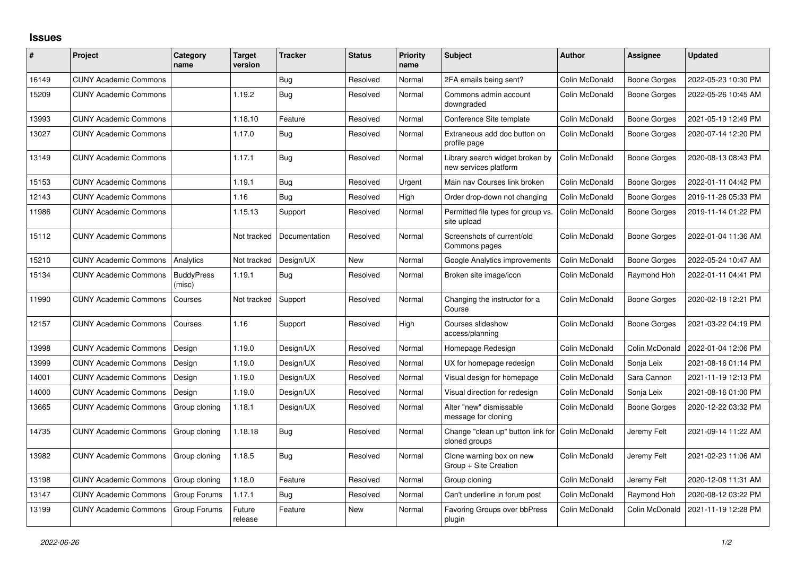## **Issues**

| #     | Project                      | Category<br>name            | <b>Target</b><br>version | <b>Tracker</b> | <b>Status</b> | <b>Priority</b><br>name | <b>Subject</b>                                           | <b>Author</b>  | <b>Assignee</b>     | <b>Updated</b>      |
|-------|------------------------------|-----------------------------|--------------------------|----------------|---------------|-------------------------|----------------------------------------------------------|----------------|---------------------|---------------------|
| 16149 | <b>CUNY Academic Commons</b> |                             |                          | Bug            | Resolved      | Normal                  | 2FA emails being sent?                                   | Colin McDonald | <b>Boone Gorges</b> | 2022-05-23 10:30 PM |
| 15209 | <b>CUNY Academic Commons</b> |                             | 1.19.2                   | <b>Bug</b>     | Resolved      | Normal                  | Commons admin account<br>downgraded                      | Colin McDonald | <b>Boone Gorges</b> | 2022-05-26 10:45 AM |
| 13993 | <b>CUNY Academic Commons</b> |                             | 1.18.10                  | Feature        | Resolved      | Normal                  | Conference Site template                                 | Colin McDonald | <b>Boone Gorges</b> | 2021-05-19 12:49 PM |
| 13027 | <b>CUNY Academic Commons</b> |                             | 1.17.0                   | <b>Bug</b>     | Resolved      | Normal                  | Extraneous add doc button on<br>profile page             | Colin McDonald | Boone Gorges        | 2020-07-14 12:20 PM |
| 13149 | <b>CUNY Academic Commons</b> |                             | 1.17.1                   | Bug            | Resolved      | Normal                  | Library search widget broken by<br>new services platform | Colin McDonald | Boone Gorges        | 2020-08-13 08:43 PM |
| 15153 | <b>CUNY Academic Commons</b> |                             | 1.19.1                   | Bug            | Resolved      | Urgent                  | Main nav Courses link broken                             | Colin McDonald | <b>Boone Gorges</b> | 2022-01-11 04:42 PM |
| 12143 | <b>CUNY Academic Commons</b> |                             | 1.16                     | <b>Bug</b>     | Resolved      | High                    | Order drop-down not changing                             | Colin McDonald | <b>Boone Gorges</b> | 2019-11-26 05:33 PM |
| 11986 | <b>CUNY Academic Commons</b> |                             | 1.15.13                  | Support        | Resolved      | Normal                  | Permitted file types for group vs.<br>site upload        | Colin McDonald | Boone Gorges        | 2019-11-14 01:22 PM |
| 15112 | <b>CUNY Academic Commons</b> |                             | Not tracked              | Documentation  | Resolved      | Normal                  | Screenshots of current/old<br>Commons pages              | Colin McDonald | Boone Gorges        | 2022-01-04 11:36 AM |
| 15210 | <b>CUNY Academic Commons</b> | Analytics                   | Not tracked              | Design/UX      | <b>New</b>    | Normal                  | Google Analytics improvements                            | Colin McDonald | <b>Boone Gorges</b> | 2022-05-24 10:47 AM |
| 15134 | <b>CUNY Academic Commons</b> | <b>BuddyPress</b><br>(misc) | 1.19.1                   | Bug            | Resolved      | Normal                  | Broken site image/icon                                   | Colin McDonald | Raymond Hoh         | 2022-01-11 04:41 PM |
| 11990 | <b>CUNY Academic Commons</b> | Courses                     | Not tracked              | Support        | Resolved      | Normal                  | Changing the instructor for a<br>Course                  | Colin McDonald | Boone Gorges        | 2020-02-18 12:21 PM |
| 12157 | <b>CUNY Academic Commons</b> | Courses                     | 1.16                     | Support        | Resolved      | High                    | Courses slideshow<br>access/planning                     | Colin McDonald | <b>Boone Gorges</b> | 2021-03-22 04:19 PM |
| 13998 | <b>CUNY Academic Commons</b> | Design                      | 1.19.0                   | Design/UX      | Resolved      | Normal                  | Homepage Redesign                                        | Colin McDonald | Colin McDonald      | 2022-01-04 12:06 PM |
| 13999 | <b>CUNY Academic Commons</b> | Design                      | 1.19.0                   | Design/UX      | Resolved      | Normal                  | UX for homepage redesign                                 | Colin McDonald | Sonja Leix          | 2021-08-16 01:14 PM |
| 14001 | <b>CUNY Academic Commons</b> | Design                      | 1.19.0                   | Design/UX      | Resolved      | Normal                  | Visual design for homepage                               | Colin McDonald | Sara Cannon         | 2021-11-19 12:13 PM |
| 14000 | <b>CUNY Academic Commons</b> | Design                      | 1.19.0                   | Design/UX      | Resolved      | Normal                  | Visual direction for redesign                            | Colin McDonald | Sonja Leix          | 2021-08-16 01:00 PM |
| 13665 | <b>CUNY Academic Commons</b> | Group cloning               | 1.18.1                   | Design/UX      | Resolved      | Normal                  | Alter "new" dismissable<br>message for cloning           | Colin McDonald | <b>Boone Gorges</b> | 2020-12-22 03:32 PM |
| 14735 | <b>CUNY Academic Commons</b> | Group cloning               | 1.18.18                  | <b>Bug</b>     | Resolved      | Normal                  | Change "clean up" button link for<br>cloned groups       | Colin McDonald | Jeremy Felt         | 2021-09-14 11:22 AM |
| 13982 | <b>CUNY Academic Commons</b> | Group cloning               | 1.18.5                   | <b>Bug</b>     | Resolved      | Normal                  | Clone warning box on new<br>Group + Site Creation        | Colin McDonald | Jeremy Felt         | 2021-02-23 11:06 AM |
| 13198 | <b>CUNY Academic Commons</b> | Group cloning               | 1.18.0                   | Feature        | Resolved      | Normal                  | Group cloning                                            | Colin McDonald | Jeremy Felt         | 2020-12-08 11:31 AM |
| 13147 | <b>CUNY Academic Commons</b> | Group Forums                | 1.17.1                   | Bug            | Resolved      | Normal                  | Can't underline in forum post                            | Colin McDonald | Raymond Hoh         | 2020-08-12 03:22 PM |
| 13199 | <b>CUNY Academic Commons</b> | Group Forums                | Future<br>release        | Feature        | <b>New</b>    | Normal                  | Favoring Groups over bbPress<br>plugin                   | Colin McDonald | Colin McDonald      | 2021-11-19 12:28 PM |